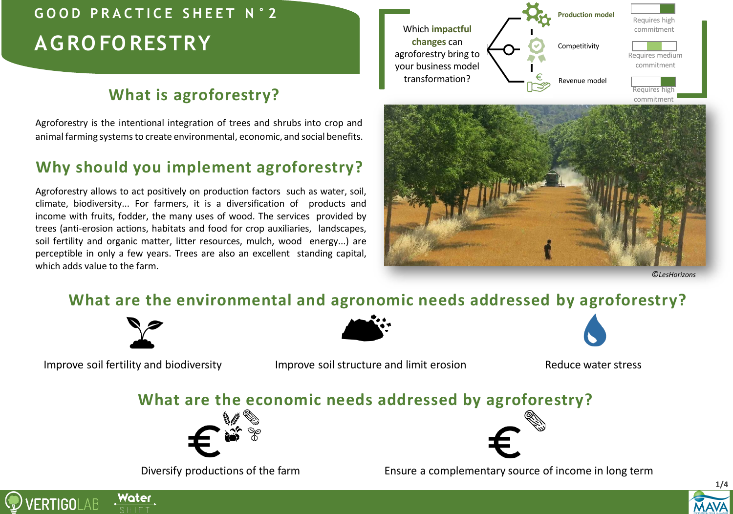# **AGRO FO RESTRY**

# **What is agroforestry?**

Agroforestry is the intentional integration of trees and shrubs into crop and animal farming systems to create environmental, economic, and social benefits.

# **Why should you implement agroforestry?**

Agroforestry allows to act positively on production factors such as water, soil, climate, biodiversity... For farmers, it is a diversification of products and income with fruits, fodder, the many uses of wood. The services provided by trees (anti-erosion actions, habitats and food for crop auxiliaries, landscapes, soil fertility and organic matter, litter resources, mulch, wood energy...) are perceptible in only a few years. Trees are also an excellent standing capital, which adds value to the farm.





*©LesHorizons*

# **What are the environmental and agronomic needs addressed by agroforestry?**



Water

**VERTIGOLAB** 

Improve soil fertility and biodiversity **Improve soil structure and limit erosion** Reduce water stress

## **What are the economic needs addressed by agroforestry?**





Diversify productions of the farm Ensure a complementary source of income in long term

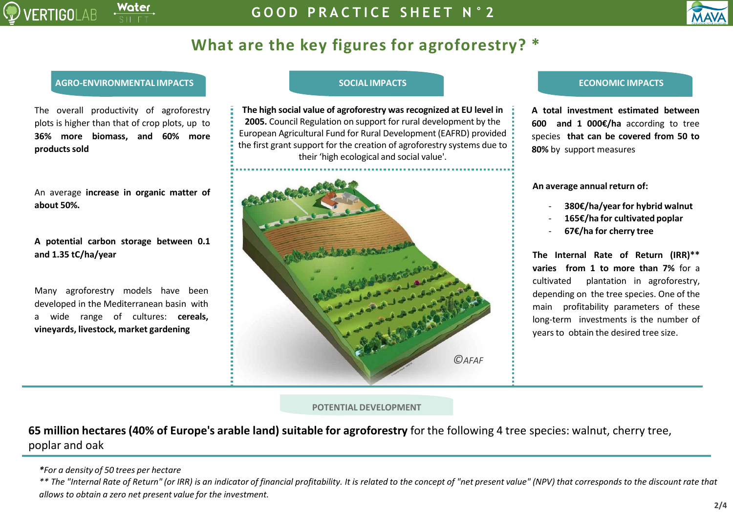

# **What are the key figures for agroforestry? \***

### **AGRO-ENVIRONMENTAL IMPACTS SOCIAL IMPACTS ECONOMIC IMPACTS**

The overall productivity of agroforestry plots is higher than that of crop plots, up to **36% more biomass, and 60% more productssold**

|            | An average increase in organic matter of |  |  |
|------------|------------------------------------------|--|--|
| about 50%. |                                          |  |  |

**A potential carbon storage between 0.1 and 1.35 tC/ha/year**

Many agroforestry models have been developed in the Mediterranean basin with a wide range of cultures: **cereals, vineyards, livestock, market gardening**

**The high social value of agroforestry was recognized at EU level in 2005.** Council Regulation on support for rural development by the European Agricultural Fund for Rural Development (EAFRD) provided the first grant support for the creation of agroforestry systems due to their 'high ecological and social value'.



**A total investment estimated between 600 and 1 000€/ha** according to tree species **that can be covered from 50 to 80%** by support measures

**An average annualreturn of:**

- **380€/ha/year for hybrid walnut**
- **165€/ha for cultivated poplar**
- **67€/ha for cherry tree**

**The Internal Rate of Return (IRR)\*\* varies from 1 to more than 7%** for a cultivated plantation in agroforestry, depending on the tree species. One of the main profitability parameters of these long-term investments is the number of years to obtain the desired tree size.

### **POTENTIAL DEVELOPMENT**

**65 million hectares (40% of Europe's arable land) suitable for agroforestry** for the following 4 tree species: walnut, cherry tree, poplar and oak

*<sup>\*</sup>For a density of 50 trees per hectare*

<sup>\*\*</sup> The "Internal Rate of Return" (or IRR) is an indicator of financial profitability. It is related to the concept of "net present value" (NPV) that corresponds to the discount rate that *allows to obtain a zero net present value for the investment.*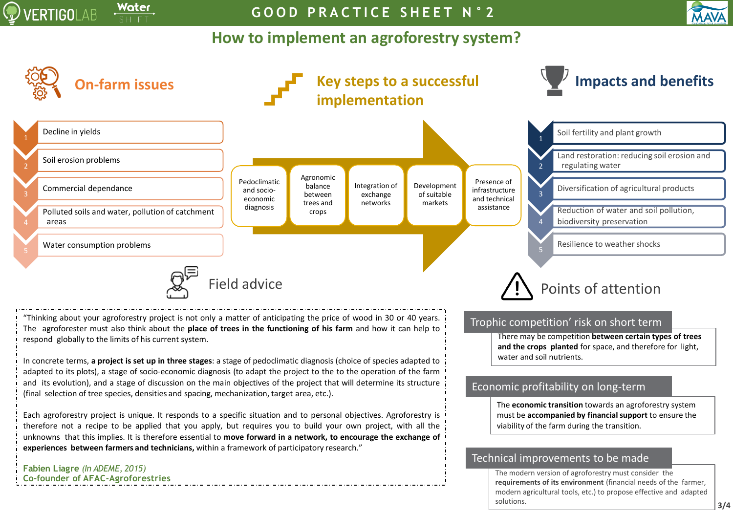

**G O O D P R A C T I C E S H E E T N ° 2**

## **How to implement an agroforestry system?**